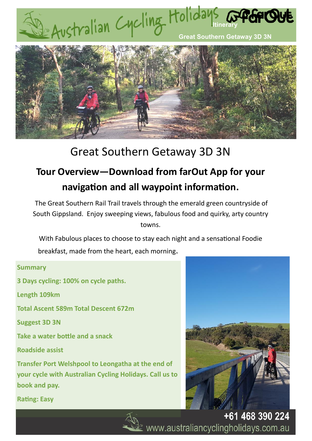



# Great Southern Getaway 3D 3N

# **Tour Overview—Download from farOut App for your navigation and all waypoint information.**

The Great Southern Rail Trail travels through the emerald green countryside of South Gippsland. Enjoy sweeping views, fabulous food and quirky, arty country towns.

With Fabulous places to choose to stay each night and a sensational Foodie

breakfast, made from the heart, each morning.

# **Summary**

**3 Days cycling: 100% on cycle paths.** 

**Length 109km**

**Total Ascent 589m Total Descent 672m**

**Suggest 3D 3N** 

**Take a water bottle and a snack**

**Roadside assist**

**Transfer Port Welshpool to Leongatha at the end of your cycle with Australian Cycling Holidays. Call us to book and pay.** 



**Rating: Easy**



+61 468 390 224 www.australiancyclingholidays.com.au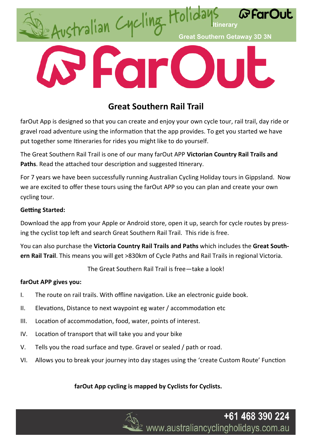

# **Great Southern Rail Trail**

farOut App is designed so that you can create and enjoy your own cycle tour, rail trail, day ride or gravel road adventure using the information that the app provides. To get you started we have put together some Itineraries for rides you might like to do yourself.

The Great Southern Rail Trail is one of our many farOut APP **Victorian Country Rail Trails and**  Paths. Read the attached tour description and suggested Itinerary.

For 7 years we have been successfully running Australian Cycling Holiday tours in Gippsland. Now we are excited to offer these tours using the farOut APP so you can plan and create your own cycling tour.

# **Getting Started:**

Download the app from your Apple or Android store, open it up, search for cycle routes by pressing the cyclist top left and search Great Southern Rail Trail. This ride is free.

You can also purchase the **Victoria Country Rail Trails and Paths** which includes the **Great Southern Rail Trail**. This means you will get >830km of Cycle Paths and Rail Trails in regional Victoria.

The Great Southern Rail Trail is free—take a look!

# **farOut APP gives you:**

- I. The route on rail trails. With offline navigation. Like an electronic guide book.
- II. Elevations, Distance to next waypoint eg water / accommodation etc
- III. Location of accommodation, food, water, points of interest.
- IV. Location of transport that will take you and your bike
- V. Tells you the road surface and type. Gravel or sealed / path or road.
- VI. Allows you to break your journey into day stages using the 'create Custom Route' Function

# **farOut App cycling is mapped by Cyclists for Cyclists.**

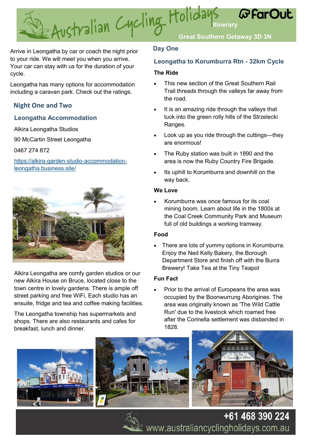**In Australian Cycling Holidays** *GFarOut* **Great Southern Getaway 3D 3N** 

Arrive in Leongatha by car or coach the night prior to your ride. We will meet you when you arrive. Your car can stay with us for the duration of your cycle.

Leongatha has many options for accommodation including a caravan park. Check out the ratings.

# **Night One and Two**

# **Leongatha Accommodation**

Alkira Leongatha Studios

90 McCartin Street Leongatha

0467 274 872

[https://alkira-garden-studio-accommodation](https://alkira-garden-studio-accommodation-leongatha.business.site/)[leongatha.business.site/](https://alkira-garden-studio-accommodation-leongatha.business.site/)



Alkira Leongatha are comfy garden studios or our new Alkira House on Bruce, located close to the town centre in lovely gardens. There is ample off street parking and free WiFi. Each studio has an ensuite, fridge and tea and coffee making facilities.

The Leongatha township has supermarkets and shops. There are also restaurants and cafes for breakfast, lunch and dinner.

# **Day One**

# **Leongatha to Korumburra Rtn - 32km Cycle**

### **The Ride**

- This new section of the Great Southern Rail Trail threads through the valleys far away from the road.
- It is an amazing ride through the valleys that tuck into the green rolly hills of the Strzelecki Ranges.
- Look up as you ride through the cuttings—they are enormous!
- The Ruby station was built in 1890 and the area is now the Ruby Country Fire Brigade.
- Its uphill to Korumburra and downhill on the way back.

### **We Love**

• Korumburra was once famous for its coal mining boom. Learn about life in the 1800s at the Coal Creek Community Park and Museum full of old buildings a working tramway.

# **Food**

There are lots of yummy options in Korumburra. Enjoy the Ned Kelly Bakery, the Borough Department Store and finish off with the Burra Brewery! Take Tea at the Tiny Teapot

# **Fun Fact**

• Prior to the arrival of Europeans the area was occupied by the Boonwurrung Aborigines. The area was originally known as 'The Wild Cattle Run' due to the livestock which roamed free after the Corinella settlement was disbanded in 1828.





+61 468 390 224  $\mathcal{L}$  www.australiancyclingholidays.com.au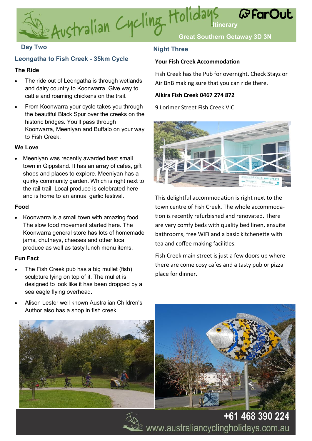

# **Leongatha to Fish Creek - 35km Cycle**

#### **The Ride**

- The ride out of Leongatha is through wetlands and dairy country to Koonwarra. Give way to cattle and roaming chickens on the trail.
- From Koonwarra your cycle takes you through the beautiful Black Spur over the creeks on the historic bridges. You'll pass through Koonwarra, Meeniyan and Buffalo on your way to Fish Creek.

#### **We Love**

Meeniyan was recently awarded best small town in Gippsland. It has an array of cafes, gift shops and places to explore. Meeniyan has a quirky community garden. Which is right next to the rail trail. Local produce is celebrated here and is home to an annual garlic festival.

#### **Food**

• Koonwarra is a small town with amazing food. The slow food movement started here. The Koonwarra general store has lots of homemade jams, chutneys, cheeses and other local produce as well as tasty lunch menu items.

#### **Fun Fact**

- The Fish Creek pub has a big mullet (fish) sculpture lying on top of it. The mullet is designed to look like it has been dropped by a sea eagle flying overhead.
- Alison Lester well known Australian Children's Author also has a shop in fish creek.

# **Day Two Night Three**

#### **Your Fish Creek Accommodation**

Fish Creek has the Pub for overnight. Check Stayz or Air BnB making sure that you can ride there.

#### **Alkira Fish Creek 0467 274 872**

9 Lorimer Street Fish Creek VIC



This delightful accommodation is right next to the town centre of Fish Creek. The whole accommodation is recently refurbished and renovated. There are very comfy beds with quality bed linen, ensuite bathrooms, free WiFi and a basic kitchenette with tea and coffee making facilities.

Fish Creek main street is just a few doors up where there are come cosy cafes and a tasty pub or pizza place for dinner.